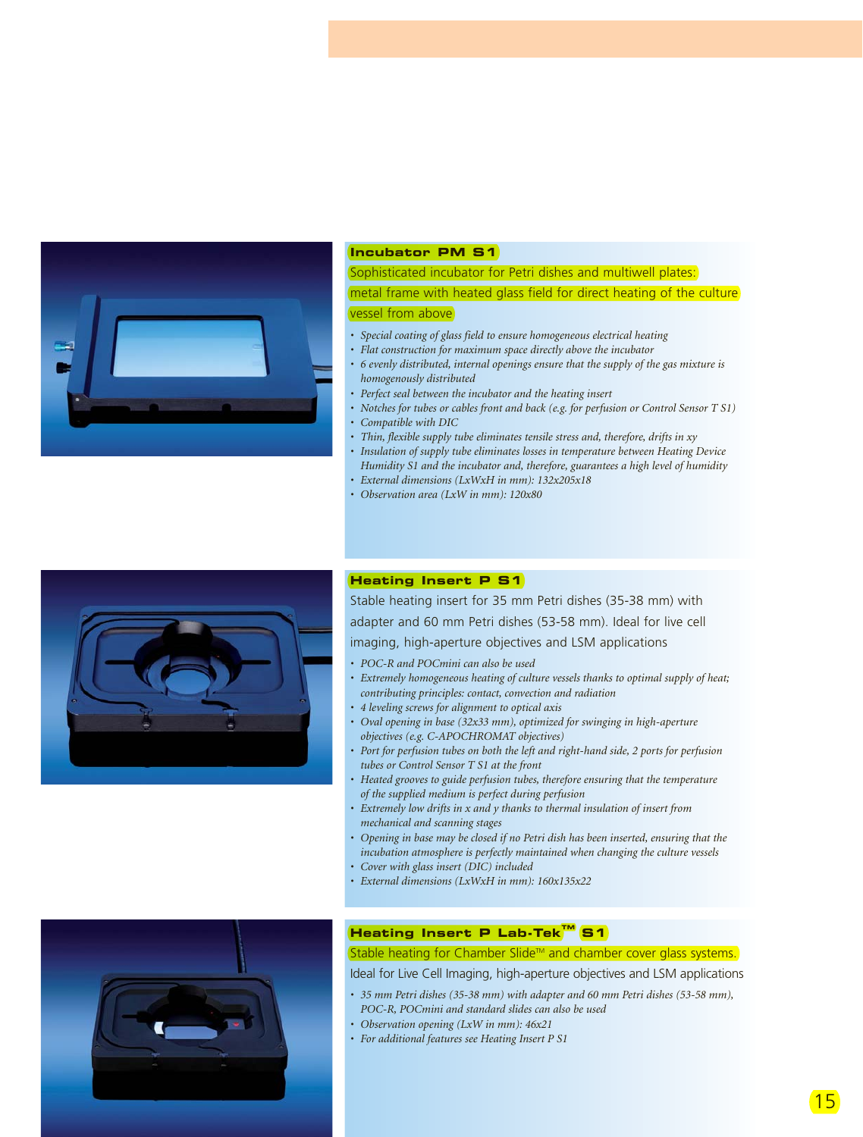

#### **Incubator PM S1**

Sophisticated incubator for Petri dishes and multiwell plates: metal frame with heated glass field for direct heating of the culture vessel from above

- *Special coating of glass field to ensure homogeneous electrical heating*
- *Flat construction for maximum space directly above the incubator*
- *6 evenly distributed, internal openings ensure that the supply of the gas mixture is homogenously distributed*
- *Perfect seal between the incubator and the heating insert*
- *Notches for tubes or cables front and back (e.g. for perfusion or Control Sensor T S1)*
- *Compatible with DIC*
- *Thin, flexible supply tube eliminates tensile stress and, therefore, drifts in xy*
- *Insulation of supply tube eliminates losses in temperature between Heating Device Humidity S1 and the incubator and, therefore, guarantees a high level of humidity*
- *External dimensions (LxWxH in mm): 132x205x18*
- *Observation area (LxW in mm): 120x80*



## **Heating Insert P S1**

Stable heating insert for 35 mm Petri dishes (35-38 mm) with adapter and 60 mm Petri dishes (53-58 mm). Ideal for live cell imaging, high-aperture objectives and LSM applications

- *POC-R and POCmini can also be used*
- *Extremely homogeneous heating of culture vessels thanks to optimal supply of heat; contributing principles: contact, convection and radiation*
- *4 leveling screws for alignment to optical axis*
- *Oval opening in base (32x33 mm), optimized for swinging in high-aperture objectives (e.g. C-APOCHROMAT objectives)*
- *Port for perfusion tubes on both the left and right-hand side, 2 ports for perfusion tubes or Control Sensor T S1 at the front*
- *Heated grooves to guide perfusion tubes, therefore ensuring that the temperature of the supplied medium is perfect during perfusion*
- *Extremely low drifts in x and y thanks to thermal insulation of insert from mechanical and scanning stages*
- *Opening in base may be closed if no Petri dish has been inserted, ensuring that the incubation atmosphere is perfectly maintained when changing the culture vessels*
- *Cover with glass insert (DIC) included*
- *External dimensions (LxWxH in mm): 160x135x22*



# **Heating Insert P Lab-TekTM S1**

## Stable heating for Chamber Slide™ and chamber cover glass systems.

Ideal for Live Cell Imaging, high-aperture objectives and LSM applications

- *35 mm Petri dishes (35-38 mm) with adapter and 60 mm Petri dishes (53-58 mm), POC-R, POCmini and standard slides can also be used*
- *Observation opening (LxW in mm): 46x21*
- *For additional features see Heating Insert P S1*